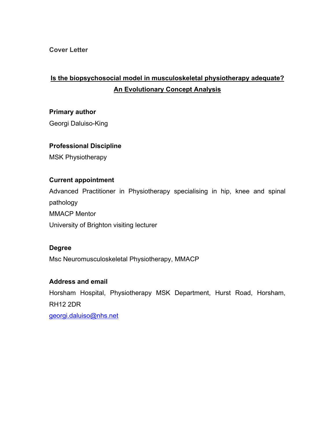**Cover Letter**

# **Is the biopsychosocial model in musculoskeletal physiotherapy adequate? An Evolutionary Concept Analysis**

## **Primary author**

Georgi Daluiso-King

## **Professional Discipline**

MSK Physiotherapy

## **Current appointment**

Advanced Practitioner in Physiotherapy specialising in hip, knee and spinal pathology MMACP Mentor University of Brighton visiting lecturer

## **Degree**

Msc Neuromusculoskeletal Physiotherapy, MMACP

## **Address and email**

Horsham Hospital, Physiotherapy MSK Department, Hurst Road, Horsham, RH12 2DR [georgi.daluiso@nhs.net](mailto:georgi.daluiso@nhs.net)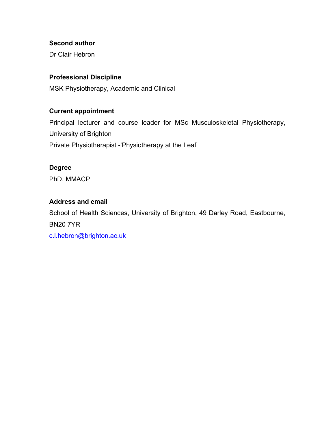## **Second author**

Dr Clair Hebron

## **Professional Discipline**

MSK Physiotherapy, Academic and Clinical

## **Current appointment**

Principal lecturer and course leader for MSc Musculoskeletal Physiotherapy, University of Brighton Private Physiotherapist -'Physiotherapy at the Leaf'

### **Degree**

PhD, MMACP

## **Address and email**

School of Health Sciences, University of Brighton, 49 Darley Road, Eastbourne, BN20 7YR

[c.l.hebron@brighton.ac.uk](mailto:c.l.hebron@brighton.ac.uk)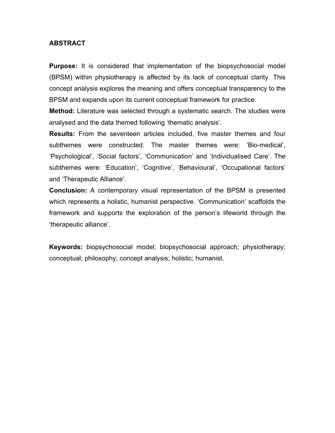### **ABSTRACT**

**Purpose:** It is considered that implementation of the biopsychosocial model (BPSM) within physiotherapy is affected by its lack of conceptual clarity. This concept analysis explores the meaning and offers conceptual transparency to the BPSM and expands upon its current conceptual framework for practice.

**Method:** Literature was selected through a systematic search. The studies were analysed and the data themed following 'thematic analysis'.

**Results:** From the seventeen articles included, five master themes and four subthemes were constructed. The master themes were: 'Bio-medical', 'Psychological', 'Social factors', 'Communication' and 'Individualised Care'. The subthemes were: 'Education', 'Cognitive', 'Behavioural', 'Occupational factors' and 'Therapeutic Alliance'.

**Conclusion:** A contemporary visual representation of the BPSM is presented which represents a holistic, humanist perspective. 'Communication' scaffolds the framework and supports the exploration of the person's lifeworld through the 'therapeutic alliance'.

**Keywords:** biopsychosocial model; biopsychosocial approach; physiotherapy; conceptual; philosophy; concept analysis; holistic; humanist.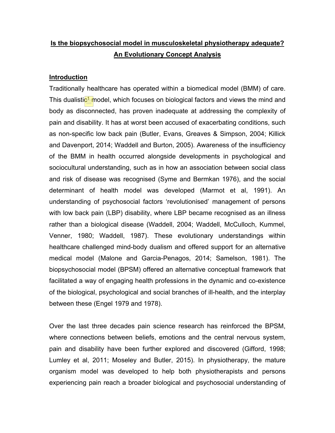## **Is the biopsychosocial model in musculoskeletal physiotherapy adequate? An Evolutionary Concept Analysis**

#### **Introduction**

Traditionally healthcare has operated within a biomedical model (BMM) of care. This dualistic<sup>1</sup> model, which focuses on biological factors and views the mind and body as disconnected, has proven inadequate at addressing the complexity of pain and disability. It has at worst been accused of exacerbating conditions, such as non-specific low back pain (Butler, Evans, Greaves & Simpson, 2004; Killick and Davenport, 2014; Waddell and Burton, 2005). Awareness of the insufficiency of the BMM in health occurred alongside developments in psychological and sociocultural understanding, such as in how an association between social class and risk of disease was recognised (Syme and Bermkan 1976), and the social determinant of health model was developed (Marmot et al, 1991). An understanding of psychosocial factors 'revolutionised' management of persons with low back pain (LBP) disability, where LBP became recognised as an illness rather than a biological disease (Waddell, 2004; Waddell, McCulloch, Kummel, Venner, 1980; Waddell, 1987). These evolutionary understandings within healthcare challenged mind-body dualism and offered support for an alternative medical model (Malone and Garcia-Penagos, 2014; Samelson, 1981). The biopsychosocial model (BPSM) offered an alternative conceptual framework that facilitated a way of engaging health professions in the dynamic and co-existence of the biological, psychological and social branches of ill-health, and the interplay between these (Engel 1979 and 1978).

Over the last three decades pain science research has reinforced the BPSM, where connections between beliefs, emotions and the central nervous system, pain and disability have been further explored and discovered (Gifford, 1998; Lumley et al, 2011; Moseley and Butler, 2015). In physiotherapy, the mature organism model was developed to help both physiotherapists and persons experiencing pain reach a broader biological and psychosocial understanding of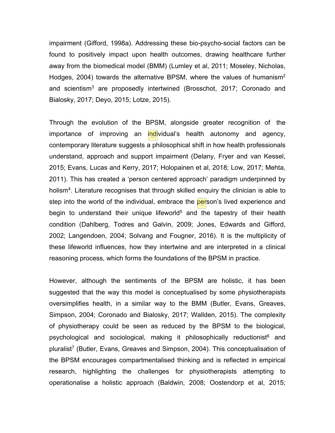impairment (Gifford, 1998a). Addressing these bio-psycho-social factors can be found to positively impact upon health outcomes, drawing healthcare further away from the biomedical model (BMM) (Lumley et al, 2011; Moseley, Nicholas, Hodges, 2004) towards the alternative BPSM, where the values of humanism<sup>2</sup> and scientism<sup>3</sup> are proposedly intertwined (Brosschot, 2017; Coronado and Bialosky, 2017; Deyo, 2015; Lotze, 2015).

Through the evolution of the BPSM, alongside greater recognition of the importance of improving an individual's health autonomy and agency, contemporary literature suggests a philosophical shift in how health professionals understand, approach and support impairment (Delany, Fryer and van Kessel, 2015; Evans, Lucas and Kerry, 2017; Holopainen et al, 2018; Low, 2017; Mehta, 2011). This has created a 'person centered approach' paradigm underpinned by holism<sup>4</sup>. Literature recognises that through skilled enquiry the clinician is able to step into the world of the individual, embrace the person's lived experience and begin to understand their unique lifeworld<sup>5</sup> and the tapestry of their health condition (Dahlberg, Todres and Galvin, 2009; Jones, Edwards and Gifford, 2002; Langendoen, 2004; Solvang and Fougner, 2016). It is the multiplicity of these lifeworld influences, how they intertwine and are interpreted in a clinical reasoning process, which forms the foundations of the BPSM in practice.

However, although the sentiments of the BPSM are holistic, it has been suggested that the way this model is conceptualised by some physiotherapists oversimplifies health, in a similar way to the BMM (Butler, Evans, Greaves, Simpson, 2004; Coronado and Bialosky, 2017; Wallden, 2015). The complexity of physiotherapy could be seen as reduced by the BPSM to the biological, psychological and sociological, making it philosophically reductionist<sup>6</sup> and pluralist<sup>7</sup> (Butler, Evans, Greaves and Simpson, 2004). This conceptualisation of the BPSM encourages compartmentalised thinking and is reflected in empirical research, highlighting the challenges for physiotherapists attempting to operationalise a holistic approach (Baldwin, 2008; Oostendorp et al, 2015;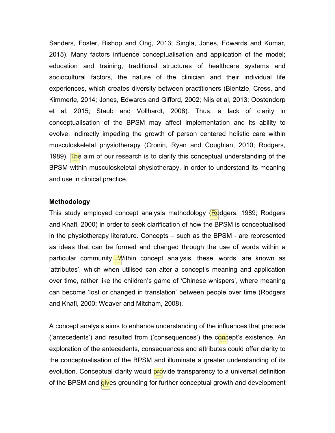Sanders, Foster, Bishop and Ong, 2013; Singla, Jones, Edwards and Kumar, 2015). Many factors influence conceptualisation and application of the model; education and training, traditional structures of healthcare systems and sociocultural factors, the nature of the clinician and their individual life experiences, which creates diversity between practitioners (Bientzle, Cress, and Kimmerle, 2014; Jones, Edwards and Gifford, 2002; Nijs et al, 2013; Oostendorp et al, 2015; Staub and Vollhardt, 2008). Thus, a lack of clarity in conceptualisation of the BPSM may affect implementation and its ability to evolve, indirectly impeding the growth of person centered holistic care within musculoskeletal physiotherapy (Cronin, Ryan and Coughlan, 2010; Rodgers, 1989). The aim of our research is to clarify this conceptual understanding of the BPSM within musculoskeletal physiotherapy, in order to understand its meaning and use in clinical practice.

#### **Methodology**

This study employed concept analysis methodology (Rodgers, 1989; Rodgers and Knafl, 2000) in order to seek clarification of how the BPSM is conceptualised in the physiotherapy literature. Concepts – such as the BPSM - are represented as ideas that can be formed and changed through the use of words within a particular community. Within concept analysis, these 'words' are known as 'attributes', which when utilised can alter a concept's meaning and application over time, rather like the children's game of 'Chinese whispers', where meaning can become 'lost or changed in translation' between people over time (Rodgers and Knafl, 2000; Weaver and Mitcham, 2008).

A concept analysis aims to enhance understanding of the influences that precede ('antecedents') and resulted from ('consequences') the concept's existence. An exploration of the antecedents, consequences and attributes could offer clarity to the conceptualisation of the BPSM and illuminate a greater understanding of its evolution. Conceptual clarity would **provide transparency to a universal definition** of the BPSM and gives grounding for further conceptual growth and development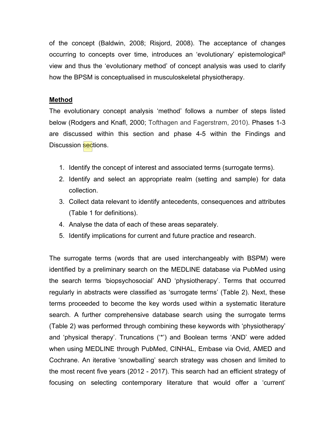of the concept (Baldwin, 2008; Risjord, 2008). The acceptance of changes occurring to concepts over time, introduces an 'evolutionary' epistemological<sup>8</sup> view and thus the 'evolutionary method' of concept analysis was used to clarify how the BPSM is conceptualised in musculoskeletal physiotherapy.

### **Method**

The evolutionary concept analysis 'method' follows a number of steps listed below (Rodgers and Knafl, 2000; Tofthagen and Fagerstrøm, 2010). Phases 1-3 are discussed within this section and phase 4-5 within the Findings and Discussion sections.

- 1. Identify the concept of interest and associated terms (surrogate terms).
- 2. Identify and select an appropriate realm (setting and sample) for data collection.
- 3. Collect data relevant to identify antecedents, consequences and attributes (Table 1 for definitions).
- 4. Analyse the data of each of these areas separately.
- 5. Identify implications for current and future practice and research.

The surrogate terms (words that are used interchangeably with BSPM) were identified by a preliminary search on the MEDLINE database via PubMed using the search terms 'biopsychosocial' AND 'physiotherapy'. Terms that occurred regularly in abstracts were classified as 'surrogate terms' (Table 2). Next, these terms proceeded to become the key words used within a systematic literature search. A further comprehensive database search using the surrogate terms (Table 2) was performed through combining these keywords with 'physiotherapy' and 'physical therapy'. Truncations ('\*') and Boolean terms 'AND' were added when using MEDLINE through PubMed, CINHAL, Embase via Ovid, AMED and Cochrane. An iterative 'snowballing' search strategy was chosen and limited to the most recent five years (2012 - 2017). This search had an efficient strategy of focusing on selecting contemporary literature that would offer a 'current'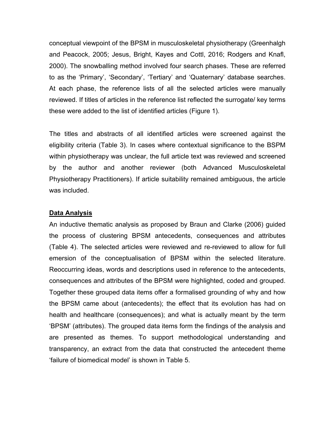conceptual viewpoint of the BPSM in musculoskeletal physiotherapy (Greenhalgh and Peacock, 2005; Jesus, Bright, Kayes and Cottl, 2016; Rodgers and Knafl, 2000). The snowballing method involved four search phases. These are referred to as the 'Primary', 'Secondary', 'Tertiary' and 'Quaternary' database searches. At each phase, the reference lists of all the selected articles were manually reviewed. If titles of articles in the reference list reflected the surrogate/ key terms these were added to the list of identified articles (Figure 1).

The titles and abstracts of all identified articles were screened against the eligibility criteria (Table 3). In cases where contextual significance to the BSPM within physiotherapy was unclear, the full article text was reviewed and screened by the author and another reviewer (both Advanced Musculoskeletal Physiotherapy Practitioners). If article suitability remained ambiguous, the article was included.

#### **Data Analysis**

An inductive thematic analysis as proposed by Braun and Clarke (2006) guided the process of clustering BPSM antecedents, consequences and attributes (Table 4). The selected articles were reviewed and re-reviewed to allow for full emersion of the conceptualisation of BPSM within the selected literature. Reoccurring ideas, words and descriptions used in reference to the antecedents, consequences and attributes of the BPSM were highlighted, coded and grouped. Together these grouped data items offer a formalised grounding of why and how the BPSM came about (antecedents); the effect that its evolution has had on health and healthcare (consequences); and what is actually meant by the term 'BPSM' (attributes). The grouped data items form the findings of the analysis and are presented as themes. To support methodological understanding and transparency, an extract from the data that constructed the antecedent theme 'failure of biomedical model' is shown in Table 5.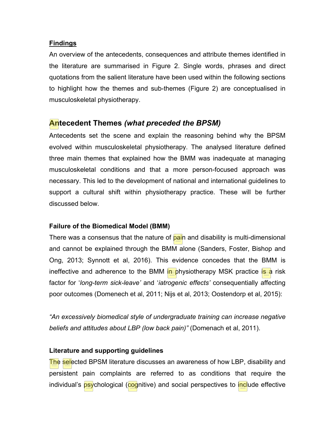### **Findings**

An overview of the antecedents, consequences and attribute themes identified in the literature are summarised in Figure 2. Single words, phrases and direct quotations from the salient literature have been used within the following sections to highlight how the themes and sub-themes (Figure 2) are conceptualised in musculoskeletal physiotherapy.

## **Antecedent Themes** *(what preceded the BPSM)*

Antecedents set the scene and explain the reasoning behind why the BPSM evolved within musculoskeletal physiotherapy. The analysed literature defined three main themes that explained how the BMM was inadequate at managing musculoskeletal conditions and that a more person-focused approach was necessary. This led to the development of national and international guidelines to support a cultural shift within physiotherapy practice. These will be further discussed below.

## **Failure of the Biomedical Model (BMM)**

There was a consensus that the nature of **pain** and disability is multi-dimensional and cannot be explained through the BMM alone (Sanders, Foster, Bishop and Ong, 2013; Synnott et al, 2016). This evidence concedes that the BMM is ineffective and adherence to the BMM in physiotherapy MSK practice is a risk factor for '*long-term sick-leave'* and '*iatrogenic effects'* consequentially affecting poor outcomes (Domenech et al, 2011; Nijs et al, 2013; Oostendorp et al, 2015):

*"An excessively biomedical style of undergraduate training can increase negative beliefs and attitudes about LBP (low back pain)"* (Domenach et al, 2011).

## **Literature and supporting guidelines**

The selected BPSM literature discusses an awareness of how LBP, disability and persistent pain complaints are referred to as conditions that require the individual's psychological (cognitive) and social perspectives to include effective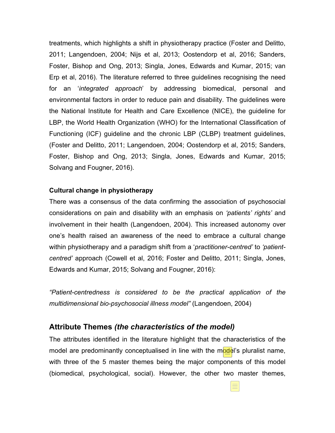treatments, which highlights a shift in physiotherapy practice (Foster and Delitto, 2011; Langendoen, 2004; Nijs et al, 2013; Oostendorp et al, 2016; Sanders, Foster, Bishop and Ong, 2013; Singla, Jones, Edwards and Kumar, 2015; van Erp et al, 2016). The literature referred to three guidelines recognising the need for an '*integrated approach*' by addressing biomedical, personal and environmental factors in order to reduce pain and disability. The guidelines were the National Institute for Health and Care Excellence (NICE), the guideline for LBP, the World Health Organization (WHO) for the International Classification of Functioning (ICF) guideline and the chronic LBP (CLBP) treatment guidelines, (Foster and Delitto, 2011; Langendoen, 2004; Oostendorp et al, 2015; Sanders, Foster, Bishop and Ong, 2013; Singla, Jones, Edwards and Kumar, 2015; Solvang and Fougner, 2016).

#### **Cultural change in physiotherapy**

There was a consensus of the data confirming the association of psychosocial considerations on pain and disability with an emphasis on *'patients' rights'* and involvement in their health (Langendoen, 2004). This increased autonomy over one's health raised an awareness of the need to embrace a cultural change within physiotherapy and a paradigm shift from a '*practitioner-centred'* to *'patientcentred'* approach (Cowell et al, 2016; Foster and Delitto, 2011; Singla, Jones, Edwards and Kumar, 2015; Solvang and Fougner, 2016):

*"Patient-centredness is considered to be the practical application of the multidimensional bio-psychosocial illness model"* (Langendoen, 2004)

### **Attribute Themes** *(the characteristics of the model)*

The attributes identified in the literature highlight that the characteristics of the model are predominantly conceptualised in line with the mode is pluralist name, with three of the 5 master themes being the major components of this model (biomedical, psychological, social). However, the other two master themes,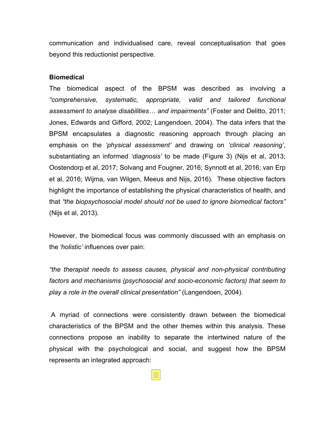communication and individualised care, reveal conceptualisation that goes beyond this reductionist perspective.

#### **Biomedical**

The biomedical aspect of the BPSM was described as involving a *"comprehensive, systematic, appropriate, valid and tailored functional assessment to analyse disabilities… and impairments"* (Foster and Delitto, 2011; Jones, Edwards and Gifford, 2002; Langendoen, 2004). The data infers that the BPSM encapsulates a diagnostic reasoning approach through placing an emphasis on the *'physical assessment'* and drawing on *'clinical reasoning'*, substantiating an informed *'diagnosis'* to be made (Figure 3) (Nijs et al, 2013; Oostendorp et al, 2017; Solvang and Fougner, 2016; Synnott et al, 2016; van Erp et al, 2016; Wijma, van Wilgen, Meeus and Nijs, 2016). These objective factors highlight the importance of establishing the physical characteristics of health, and that *"the biopsychosocial model should not be used to ignore biomedical factors"* (Nijs et al, 2013).

However, the biomedical focus was commonly discussed with an emphasis on the *'holistic'* influences over pain:

*"the therapist needs to assess causes, physical and non-physical contributing factors and mechanisms (psychosocial and socio-economic factors) that seem to play a role in the overall clinical presentation"* (Langendoen, 2004).

A myriad of connections were consistently drawn between the biomedical characteristics of the BPSM and the other themes within this analysis. These connections propose an inability to separate the intertwined nature of the physical with the psychological and social, and suggest how the BPSM represents an integrated approach: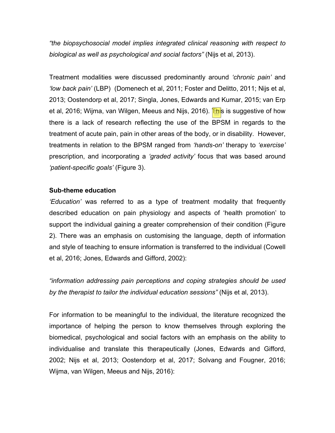*"the biopsychosocial model implies integrated clinical reasoning with respect to biological as well as psychological and social factors"* (Nijs et al, 2013).

Treatment modalities were discussed predominantly around *'chronic pain'* and *'low back pain'* (LBP) (Domenech et al, 2011; Foster and Delitto, 2011; Nijs et al, 2013; Oostendorp et al, 2017; Singla, Jones, Edwards and Kumar, 2015; van Erp et al, 2016; Wijma, van Wilgen, Meeus and Nijs, 2016). **This is suggestive of how** there is a lack of research reflecting the use of the BPSM in regards to the treatment of acute pain, pain in other areas of the body, or in disability. However, treatments in relation to the BPSM ranged from *'hands-on'* therapy to *'exercise'* prescription, and incorporating a *'graded activity'* focus that was based around *'patient-specific goals'* (Figure 3).

### **Sub-theme education**

*'Education'* was referred to as a type of treatment modality that frequently described education on pain physiology and aspects of 'health promotion' to support the individual gaining a greater comprehension of their condition (Figure 2). There was an emphasis on customising the language, depth of information and style of teaching to ensure information is transferred to the individual (Cowell et al, 2016; Jones, Edwards and Gifford, 2002):

*"information addressing pain perceptions and coping strategies should be used by the therapist to tailor the individual education sessions"* (Nijs et al, 2013).

For information to be meaningful to the individual, the literature recognized the importance of helping the person to know themselves through exploring the biomedical, psychological and social factors with an emphasis on the ability to individualise and translate this therapeutically (Jones, Edwards and Gifford, 2002; Nijs et al, 2013; Oostendorp et al, 2017; Solvang and Fougner, 2016; Wijma, van Wilgen, Meeus and Nijs, 2016):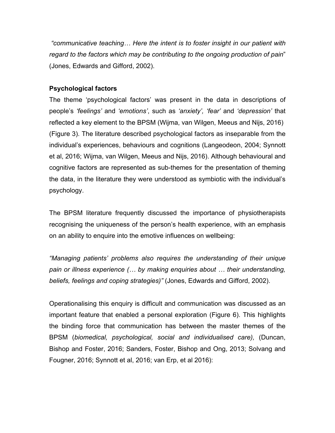*"communicative teaching… Here the intent is to foster insight in our patient with regard to the factors which may be contributing to the ongoing production of pain*" (Jones, Edwards and Gifford, 2002).

## **Psychological factors**

The theme 'psychological factors' was present in the data in descriptions of people's *'feelings'* and *'emotions'*, such as *'anxiety', 'fear'* and *'depression'* that reflected a key element to the BPSM (Wijma, van Wilgen, Meeus and Nijs, 2016) (Figure 3). The literature described psychological factors as inseparable from the individual's experiences, behaviours and cognitions (Langeodeon, 2004; Synnott et al, 2016; Wijma, van Wilgen, Meeus and Nijs, 2016). Although behavioural and cognitive factors are represented as sub-themes for the presentation of theming the data, in the literature they were understood as symbiotic with the individual's psychology.

The BPSM literature frequently discussed the importance of physiotherapists recognising the uniqueness of the person's health experience, with an emphasis on an ability to enquire into the emotive influences on wellbeing:

*"Managing patients' problems also requires the understanding of their unique pain or illness experience (… by making enquiries about … their understanding, beliefs, feelings and coping strategies)"* (Jones, Edwards and Gifford, 2002).

Operationalising this enquiry is difficult and communication was discussed as an important feature that enabled a personal exploration (Figure 6). This highlights the binding force that communication has between the master themes of the BPSM (*biomedical, psychological, social and individualised care),* (Duncan, Bishop and Foster, 2016; Sanders, Foster, Bishop and Ong, 2013; Solvang and Fougner, 2016; Synnott et al, 2016; van Erp, et al 2016):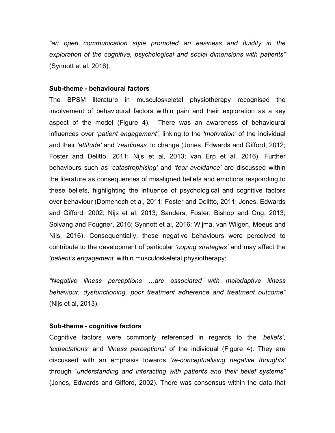*"an open communication style promoted an easiness and fluidity in the exploration of the cognitive, psychological and social dimensions with patients"* (Synnott et al, 2016).

#### **Sub-theme - behavioural factors**

The BPSM literature in musculoskeletal physiotherapy recognised the involvement of behavioural factors within pain and their exploration as a key aspect of the model (Figure 4). There was an awareness of behavioural influences over *'patient engagement'*, linking to the *'motivation'* of the individual and their *'attitude'* and *'readiness'* to change (Jones, Edwards and Gifford, 2012; Foster and Delitto, 2011; Nijs et al, 2013; van Erp et al, 2016). Further behaviours such as *'catastrophising'* and *'fear avoidance'* are discussed within the literature as consequences of misaligned beliefs and emotions responding to these beliefs, highlighting the influence of psychological and cognitive factors over behaviour (Domenech et al, 2011; Foster and Delitto, 2011; Jones, Edwards and Gifford, 2002; Nijs et al, 2013; Sanders, Foster, Bishop and Ong, 2013; Solvang and Fougner, 2016; Synnott et al, 2016; Wijma, van Wilgen, Meeus and Nijs, 2016). Consequentially, these negative behaviours were perceived to contribute to the development of particular *'coping strategies'* and may affect the *'patient's engagement'* within musculoskeletal physiotherapy:

*"Negative illness perceptions …are associated with maladaptive illness behaviour, dysfunctioning, poor treatment adherence and treatment outcome"* (Nijs et al, 2013).

#### **Sub-theme - cognitive factors**

Cognitive factors were commonly referenced in regards to the *'beliefs'*, *'expectations'* and *'illness perceptions'* of the individual (Figure 4). They are discussed with an emphasis towards *'re-conceptualising negative thoughts'* through "*understanding and interacting with patients and their belief systems"* (Jones, Edwards and Gifford, 2002). There was consensus within the data that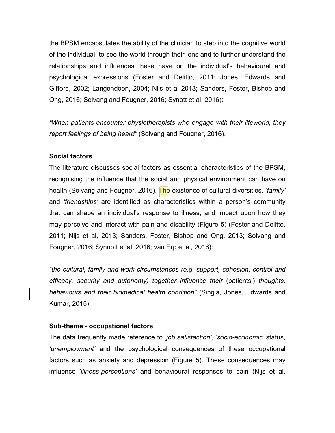the BPSM encapsulates the ability of the clinician to step into the cognitive world of the individual, to see the world through their lens and to further understand the relationships and influences these have on the individual's behavioural and psychological expressions (Foster and Delitto, 2011; Jones, Edwards and Gifford, 2002; Langendoen, 2004; Nijs et al 2013; Sanders, Foster, Bishop and Ong, 2016; Solvang and Fougner, 2016; Synott et al, 2016):

*"When patients encounter physiotherapists who engage with their lifeworld, they report feelings of being heard"* (Solvang and Fougner, 2016).

#### **Social factors**

The literature discusses social factors as essential characteristics of the BPSM, recognising the influence that the social and physical environment can have on health (Solvang and Fougner, 2016). The existence of cultural diversities, *'family'* and *'friendships'* are identified as characteristics within a person's community that can shape an individual's response to illness, and impact upon how they may perceive and interact with pain and disability (Figure 5) (Foster and Delitto, 2011; Nijs et al, 2013; Sanders, Foster, Bishop and Ong, 2013; Solvang and Fougner, 2016; Synnott et al, 2016; van Erp et al, 2016):

*"the cultural, family and work circumstances (e.g. support, cohesion, control and efficacy, security and autonomy) together influence their* (patients') *thoughts, behaviours and their biomedical health condition"* (Singla, Jones, Edwards and Kumar, 2015).

#### **Sub-theme - occupational factors**

The data frequently made reference to *'job satisfaction', 'socio-economic'* status, *'unemployment'* and the psychological consequences of these occupational factors such as anxiety and depression (Figure 5). These consequences may influence *'illness-perceptions'* and behavioural responses to pain (Nijs et al,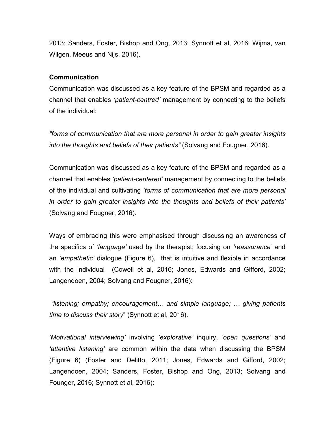2013; Sanders, Foster, Bishop and Ong, 2013; Synnott et al, 2016; Wijma, van Wilgen, Meeus and Nijs, 2016).

#### **Communication**

Communication was discussed as a key feature of the BPSM and regarded as a channel that enables *'patient-centred'* management by connecting to the beliefs of the individual:

*"forms of communication that are more personal in order to gain greater insights into the thoughts and beliefs of their patients"* (Solvang and Fougner, 2016).

Communication was discussed as a key feature of the BPSM and regarded as a channel that enables *'patient-centered'* management by connecting to the beliefs of the individual and cultivating *'forms of communication that are more personal in order to gain greater insights into the thoughts and beliefs of their patients'* (Solvang and Fougner, 2016).

Ways of embracing this were emphasised through discussing an awareness of the specifics of *'language'* used by the therapist; focusing on *'reassurance'* and an *'empathetic'* dialogue (Figure 6), that is intuitive and flexible in accordance with the individual (Cowell et al, 2016; Jones, Edwards and Gifford, 2002; Langendoen, 2004; Solvang and Fougner, 2016):

*"listening; empathy; encouragement… and simple language; … giving patients time to discuss their story*" (Synnott et al, 2016).

*'Motivational interviewing'* involving *'explorative'* inquiry, *'open questions'* and *'attentive listening'* are common within the data when discussing the BPSM (Figure 6) (Foster and Delitto, 2011; Jones, Edwards and Gifford, 2002; Langendoen, 2004; Sanders, Foster, Bishop and Ong, 2013; Solvang and Founger, 2016; Synnott et al, 2016):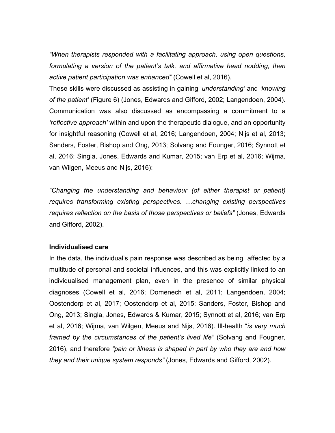*"When therapists responded with a facilitating approach, using open questions,*  formulating a version of the patient's talk, and affirmative head nodding, then *active patient participation was enhanced"* (Cowell et al, 2016).

These skills were discussed as assisting in gaining '*understanding'* and *'knowing of the patient'* (Figure 6) (Jones, Edwards and Gifford, 2002; Langendoen, 2004). Communication was also discussed as encompassing a commitment to a *'reflective approach'* within and upon the therapeutic dialogue, and an opportunity for insightful reasoning (Cowell et al, 2016; Langendoen, 2004; Nijs et al, 2013; Sanders, Foster, Bishop and Ong, 2013; Solvang and Founger, 2016; Synnott et al, 2016; Singla, Jones, Edwards and Kumar, 2015; van Erp et al, 2016; Wijma, van Wilgen, Meeus and Nijs, 2016):

*"Changing the understanding and behaviour (of either therapist or patient) requires transforming existing perspectives. …changing existing perspectives requires reflection on the basis of those perspectives or beliefs"* (Jones, Edwards and Gifford, 2002).

#### **Individualised care**

In the data, the individual's pain response was described as being affected by a multitude of personal and societal influences, and this was explicitly linked to an individualised management plan, even in the presence of similar physical diagnoses (Cowell et al, 2016; Domenech et al, 2011; Langendoen, 2004; Oostendorp et al, 2017; Oostendorp et al, 2015; Sanders, Foster, Bishop and Ong, 2013; Singla, Jones, Edwards & Kumar, 2015; Synnott et al, 2016; van Erp et al, 2016; Wijma, van Wilgen, Meeus and Nijs, 2016). Ill-health "*is very much framed by the circumstances of the patient's lived life"* (Solvang and Fougner, 2016), and therefore *"pain or illness is shaped in part by who they are and how they and their unique system responds"* (Jones, Edwards and Gifford, 2002).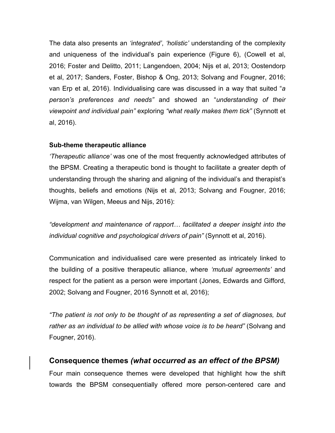The data also presents an *'integrated'*, *'holistic'* understanding of the complexity and uniqueness of the individual's pain experience (Figure 6), (Cowell et al, 2016; Foster and Delitto, 2011; Langendoen, 2004; Nijs et al, 2013; Oostendorp et al, 2017; Sanders, Foster, Bishop & Ong, 2013; Solvang and Fougner, 2016; van Erp et al, 2016). Individualising care was discussed in a way that suited "*a person's preferences and needs"* and showed an "*understanding of their viewpoint and individual pain"* exploring *"what really makes them tick"* (Synnott et al, 2016).

## **Sub-theme therapeutic alliance**

*'Therapeutic alliance'* was one of the most frequently acknowledged attributes of the BPSM. Creating a therapeutic bond is thought to facilitate a greater depth of understanding through the sharing and aligning of the individual's and therapist's thoughts, beliefs and emotions (Nijs et al, 2013; Solvang and Fougner, 2016; Wijma, van Wilgen, Meeus and Nijs, 2016):

*"development and maintenance of rapport… facilitated a deeper insight into the individual cognitive and psychological drivers of pain"* (Synnott et al, 2016).

Communication and individualised care were presented as intricately linked to the building of a positive therapeutic alliance, where *'mutual agreements'* and respect for the patient as a person were important (Jones, Edwards and Gifford, 2002; Solvang and Fougner, 2016 Synnott et al, 2016);

*"The patient is not only to be thought of as representing a set of diagnoses, but rather as an individual to be allied with whose voice is to be heard"* (Solvang and Fougner, 2016).

## **Consequence themes** *(what occurred as an effect of the BPSM)*

Four main consequence themes were developed that highlight how the shift towards the BPSM consequentially offered more person-centered care and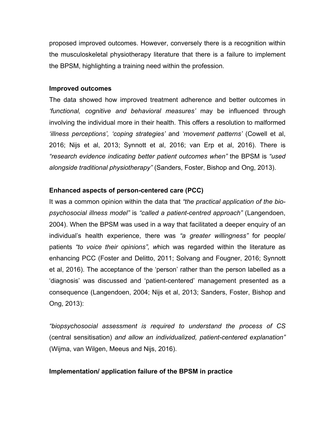proposed improved outcomes. However, conversely there is a recognition within the musculoskeletal physiotherapy literature that there is a failure to implement the BPSM, highlighting a training need within the profession.

#### **Improved outcomes**

The data showed how improved treatment adherence and better outcomes in *'functional, cognitive and behavioral measures'* may be influenced through involving the individual more in their health. This offers a resolution to malformed *'illness perceptions', 'coping strategies'* and *'movement patterns'* (Cowell et al, 2016; Nijs et al, 2013; Synnott et al, 2016; van Erp et al, 2016). There is *"research evidence indicating better patient outcomes when"* the BPSM is *"used alongside traditional physiotherapy"* (Sanders, Foster, Bishop and Ong, 2013).

## **Enhanced aspects of person-centered care (PCC)**

It was a common opinion within the data that *"the practical application of the biopsychosocial illness model"* is *"called a patient-centred approach"* (Langendoen, 2004). When the BPSM was used in a way that facilitated a deeper enquiry of an individual's health experience, there was *"a greater willingness"* for people/ patients *"to voice their opinions", w*hich was regarded within the literature as enhancing PCC (Foster and Delitto, 2011; Solvang and Fougner, 2016; Synnott et al, 2016). The acceptance of the 'person' rather than the person labelled as a 'diagnosis' was discussed and 'patient-centered' management presented as a consequence (Langendoen, 2004; Nijs et al, 2013; Sanders, Foster, Bishop and Ong, 2013):

*"biopsychosocial assessment is required to understand the process of CS*  (central sensitisation) *and allow an individualized, patient-centered explanation"* (Wijma, van Wilgen, Meeus and Nijs, 2016).

### **Implementation/ application failure of the BPSM in practice**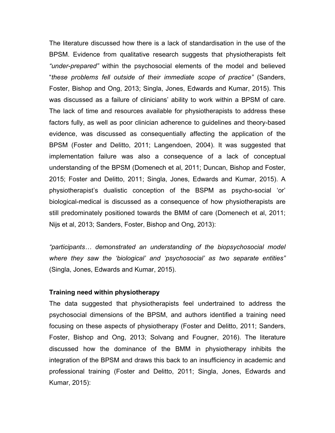The literature discussed how there is a lack of standardisation in the use of the BPSM. Evidence from qualitative research suggests that physiotherapists felt *"under-prepared"* within the psychosocial elements of the model and believed "*these problems fell outside of their immediate scope of practice"* (Sanders, Foster, Bishop and Ong, 2013; Singla, Jones, Edwards and Kumar, 2015). This was discussed as a failure of clinicians' ability to work within a BPSM of care. The lack of time and resources available for physiotherapists to address these factors fully, as well as poor clinician adherence to guidelines and theory-based evidence, was discussed as consequentially affecting the application of the BPSM (Foster and Delitto, 2011; Langendoen, 2004). It was suggested that implementation failure was also a consequence of a lack of conceptual understanding of the BPSM (Domenech et al, 2011; Duncan, Bishop and Foster, 2015; Foster and Delitto, 2011; Singla, Jones, Edwards and Kumar, 2015). A physiotherapist's dualistic conception of the BSPM as psycho-social 'or' biological-medical is discussed as a consequence of how physiotherapists are still predominately positioned towards the BMM of care (Domenech et al, 2011; Nijs et al, 2013; Sanders, Foster, Bishop and Ong, 2013):

*"participants… demonstrated an understanding of the biopsychosocial model where they saw the 'biological' and 'psychosocial' as two separate entities"* (Singla, Jones, Edwards and Kumar, 2015).

#### **Training need within physiotherapy**

The data suggested that physiotherapists feel undertrained to address the psychosocial dimensions of the BPSM, and authors identified a training need focusing on these aspects of physiotherapy (Foster and Delitto, 2011; Sanders, Foster, Bishop and Ong, 2013; Solvang and Fougner, 2016). The literature discussed how the dominance of the BMM in physiotherapy inhibits the integration of the BPSM and draws this back to an insufficiency in academic and professional training (Foster and Delitto, 2011; Singla, Jones, Edwards and Kumar, 2015):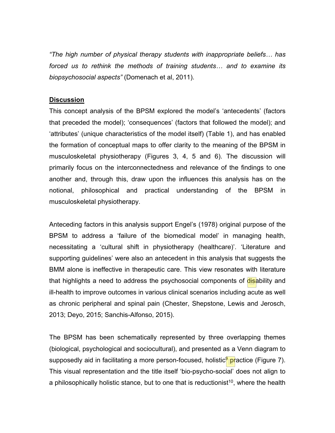*"The high number of physical therapy students with inappropriate beliefs… has forced us to rethink the methods of training students… and to examine its biopsychosocial aspects"* (Domenach et al, 2011).

#### **Discussion**

This concept analysis of the BPSM explored the model's 'antecedents' (factors that preceded the model); 'consequences' (factors that followed the model); and 'attributes' (unique characteristics of the model itself) (Table 1), and has enabled the formation of conceptual maps to offer clarity to the meaning of the BPSM in musculoskeletal physiotherapy (Figures 3, 4, 5 and 6). The discussion will primarily focus on the interconnectedness and relevance of the findings to one another and, through this, draw upon the influences this analysis has on the notional, philosophical and practical understanding of the BPSM in musculoskeletal physiotherapy.

Anteceding factors in this analysis support Engel's (1978) original purpose of the BPSM to address a 'failure of the biomedical model' in managing health, necessitating a 'cultural shift in physiotherapy (healthcare)'. 'Literature and supporting guidelines' were also an antecedent in this analysis that suggests the BMM alone is ineffective in therapeutic care. This view resonates with literature that highlights a need to address the psychosocial components of disability and ill-health to improve outcomes in various clinical scenarios including acute as well as chronic peripheral and spinal pain (Chester, Shepstone, Lewis and Jerosch, 2013; Deyo, 2015; Sanchis-Alfonso, 2015).

The BPSM has been schematically represented by three overlapping themes (biological, psychological and sociocultural), and presented as a Venn diagram to supposedly aid in facilitating a more person-focused, holistic<sup>9</sup> practice (Figure 7). This visual representation and the title itself 'bio-psycho-social' does not align to a philosophically holistic stance, but to one that is reductionist<sup>10</sup>, where the health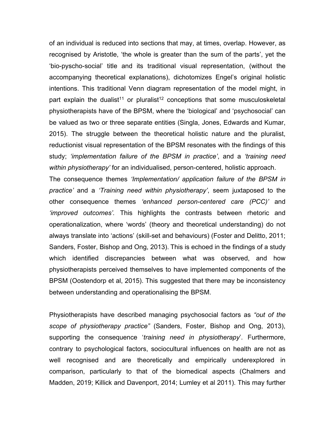of an individual is reduced into sections that may, at times, overlap. However, as recognised by Aristotle, 'the whole is greater than the sum of the parts', yet the 'bio-pyscho-social' title and its traditional visual representation, (without the accompanying theoretical explanations), dichotomizes Engel's original holistic intentions. This traditional Venn diagram representation of the model might, in part explain the dualist<sup>11</sup> or pluralist<sup>12</sup> conceptions that some musculoskeletal physiotherapists have of the BPSM, where the 'biological' and 'psychosocial' can be valued as two or three separate entities (Singla, Jones, Edwards and Kumar, 2015). The struggle between the theoretical holistic nature and the pluralist, reductionist visual representation of the BPSM resonates with the findings of this study; *'implementation failure of the BPSM in practice'*, and a *'training need within physiotherapy'* for an individualised, person-centered, holistic approach.

The consequence themes *'Implementation/ application failure of the BPSM in practice'* and a *'Training need within physiotherapy'*, seem juxtaposed to the other consequence themes *'enhanced person-centered care (PCC)'* and *'improved outcomes'.* This highlights the contrasts between rhetoric and operationalization, where 'words' (theory and theoretical understanding) do not always translate into 'actions' (skill-set and behaviours) (Foster and Delitto, 2011; Sanders, Foster, Bishop and Ong, 2013). This is echoed in the findings of a study which identified discrepancies between what was observed, and how physiotherapists perceived themselves to have implemented components of the BPSM (Oostendorp et al, 2015). This suggested that there may be inconsistency between understanding and operationalising the BPSM.

Physiotherapists have described managing psychosocial factors as *"out of the scope of physiotherapy practice"* (Sanders, Foster, Bishop and Ong, 2013), supporting the consequence '*training need in physiotherapy*'. Furthermore, contrary to psychological factors, sociocultural influences on health are not as well recognised and are theoretically and empirically underexplored in comparison, particularly to that of the biomedical aspects (Chalmers and Madden, 2019; Killick and Davenport, 2014; Lumley et al 2011). This may further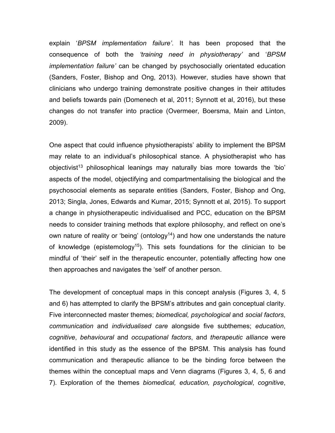explain '*BPSM implementation failure'*. It has been proposed that the consequence of both the *'training need in physiotherapy'* and '*BPSM implementation failure'* can be changed by psychosocially orientated education (Sanders, Foster, Bishop and Ong, 2013). However, studies have shown that clinicians who undergo training demonstrate positive changes in their attitudes and beliefs towards pain (Domenech et al, 2011; Synnott et al, 2016), but these changes do not transfer into practice (Overmeer, Boersma, Main and Linton, 2009).

One aspect that could influence physiotherapists' ability to implement the BPSM may relate to an individual's philosophical stance. A physiotherapist who has objectivist<sup>13</sup> philosophical leanings may naturally bias more towards the 'bio' aspects of the model, objectifying and compartmentalising the biological and the psychosocial elements as separate entities (Sanders, Foster, Bishop and Ong, 2013; Singla, Jones, Edwards and Kumar, 2015; Synnott et al, 2015). To support a change in physiotherapeutic individualised and PCC, education on the BPSM needs to consider training methods that explore philosophy, and reflect on one's own nature of reality or 'being' (ontology<sup>14</sup>) and how one understands the nature of knowledge (epistemology<sup>15</sup>). This sets foundations for the clinician to be mindful of 'their' self in the therapeutic encounter, potentially affecting how one then approaches and navigates the 'self' of another person.

The development of conceptual maps in this concept analysis (Figures 3, 4, 5 and 6) has attempted to clarify the BPSM's attributes and gain conceptual clarity. Five interconnected master themes; *biomedical, psychological* and *social factors*, *communication* and *individualised care* alongside five subthemes; *education*, *cognitive*, *behavioural* and *occupational factors*, and *therapeutic alliance* were identified in this study as the essence of the BPSM. This analysis has found communication and therapeutic alliance to be the binding force between the themes within the conceptual maps and Venn diagrams (Figures 3, 4, 5, 6 and 7). Exploration of the themes *biomedical, education, psychological*, *cognitive*,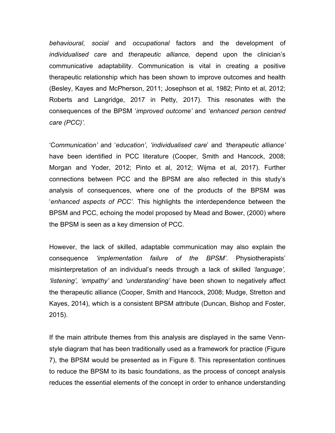*behavioural*, *social* and *occupational* factors and the development of *individualised care* and *therapeutic alliance,* depend upon the clinician's communicative adaptability. Communication is vital in creating a positive therapeutic relationship which has been shown to improve outcomes and health (Besley, Kayes and McPherson, 2011; Josephson et al, 1982; Pinto et al, 2012; Roberts and Langridge, 2017 in Petty, 2017). This resonates with the consequences of the BPSM '*improved outcome'* and *'enhanced person centred care (PCC)'.*

'C*ommunication'* and '*education'*, *'individualised care*' and *'therapeutic alliance'* have been identified in PCC literature (Cooper, Smith and Hancock, 2008; Morgan and Yoder, 2012; Pinto et al, 2012; Wijma et al, 2017). Further connections between PCC and the BPSM are also reflected in this study's analysis of consequences, where one of the products of the BPSM was '*enhanced aspects of PCC'*. This highlights the interdependence between the BPSM and PCC, echoing the model proposed by Mead and Bower, (2000) where the BPSM is seen as a key dimension of PCC.

However, the lack of skilled, adaptable communication may also explain the consequence *'implementation failure of the BPSM'*. Physiotherapists' misinterpretation of an individual's needs through a lack of skilled *'language', 'listening', 'empathy'* and *'understanding'* have been shown to negatively affect the therapeutic alliance (Cooper, Smith and Hancock, 2008; Mudge, Stretton and Kayes, 2014), which is a consistent BPSM attribute (Duncan, Bishop and Foster, 2015).

If the main attribute themes from this analysis are displayed in the same Vennstyle diagram that has been traditionally used as a framework for practice (Figure 7), the BPSM would be presented as in Figure 8. This representation continues to reduce the BPSM to its basic foundations, as the process of concept analysis reduces the essential elements of the concept in order to enhance understanding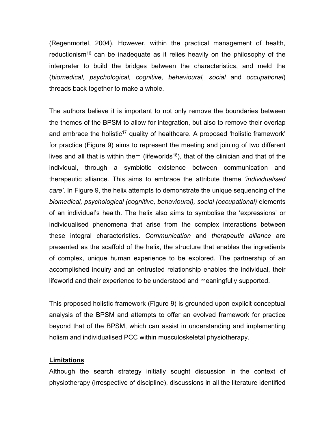(Regenmortel, 2004). However, within the practical management of health, reductionism<sup>16</sup> can be inadequate as it relies heavily on the philosophy of the interpreter to build the bridges between the characteristics, and meld the (*biomedical, psychological, cognitive, behavioural, social* and *occupational*) threads back together to make a whole.

The authors believe it is important to not only remove the boundaries between the themes of the BPSM to allow for integration, but also to remove their overlap and embrace the holistic<sup>17</sup> quality of healthcare. A proposed 'holistic framework' for practice (Figure 9) aims to represent the meeting and joining of two different lives and all that is within them (lifeworlds<sup>18</sup>), that of the clinician and that of the individual, through a symbiotic existence between communication and therapeutic alliance. This aims to embrace the attribute theme *'individualised care'*. In Figure 9, the helix attempts to demonstrate the unique sequencing of the *biomedical, psychological (cognitive, behavioural), social (occupational)* elements of an individual's health. The helix also aims to symbolise the 'expressions' or individualised phenomena that arise from the complex interactions between these integral characteristics. *Communication* and *therapeutic alliance* are presented as the scaffold of the helix, the structure that enables the ingredients of complex, unique human experience to be explored. The partnership of an accomplished inquiry and an entrusted relationship enables the individual, their lifeworld and their experience to be understood and meaningfully supported.

This proposed holistic framework (Figure 9) is grounded upon explicit conceptual analysis of the BPSM and attempts to offer an evolved framework for practice beyond that of the BPSM, which can assist in understanding and implementing holism and individualised PCC within musculoskeletal physiotherapy.

#### **Limitations**

Although the search strategy initially sought discussion in the context of physiotherapy (irrespective of discipline), discussions in all the literature identified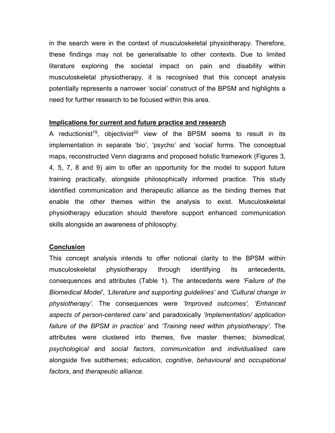in the search were in the context of musculoskeletal physiotherapy. Therefore, these findings may not be generalisable to other contexts. Due to limited literature exploring the societal impact on pain and disability within musculoskeletal physiotherapy, it is recognised that this concept analysis potentially represents a narrower 'social' construct of the BPSM and highlights a need for further research to be focused within this area.

#### **Implications for current and future practice and research**

A reductionist<sup>19</sup>, objectivist<sup>20</sup> view of the BPSM seems to result in its implementation in separate 'bio', 'psycho' and 'social' forms. The conceptual maps, reconstructed Venn diagrams and proposed holistic framework (Figures 3, 4, 5, 7, 8 and 9) aim to offer an opportunity for the model to support future training practically, alongside philosophically informed practice. This study identified communication and therapeutic alliance as the binding themes that enable the other themes within the analysis to exist. Musculoskeletal physiotherapy education should therefore support enhanced communication skills alongside an awareness of philosophy.

#### **Conclusion**

This concept analysis intends to offer notional clarity to the BPSM within musculoskeletal physiotherapy through identifying its antecedents, consequences and attributes (Table 1). The antecedents were *'Failure of the Biomedical Model'*, *'Literature and supporting guidelines'* and *'Cultural change in physiotherapy'*. The consequences were *'Improved outcomes', 'Enhanced aspects of person-centered care'* and paradoxically *'Implementation/ application failure of the BPSM in practice'* and *'Training need within physiotherapy'.* The attributes were clustered into themes, five master themes; *biomedical, psychological* and *social factors*, *communication* and *individualised care* alongside five subthemes; *education*, *cognitive*, *behavioural* and *occupational factors*, and *therapeutic alliance*.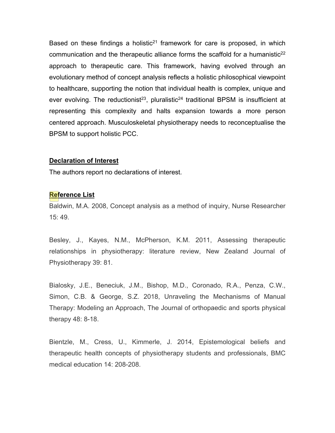Based on these findings a holistic<sup>21</sup> framework for care is proposed, in which communication and the therapeutic alliance forms the scaffold for a humanistic<sup>22</sup> approach to therapeutic care. This framework, having evolved through an evolutionary method of concept analysis reflects a holistic philosophical viewpoint to healthcare, supporting the notion that individual health is complex, unique and ever evolving. The reductionist<sup>23</sup>, pluralistic<sup>24</sup> traditional BPSM is insufficient at representing this complexity and halts expansion towards a more person centered approach. Musculoskeletal physiotherapy needs to reconceptualise the BPSM to support holistic PCC.

#### **Declaration of Interest**

The authors report no declarations of interest.

#### **Reference List**

Baldwin, M.A. 2008, Concept analysis as a method of inquiry, Nurse Researcher 15: 49.

Besley, J., Kayes, N.M., McPherson, K.M. 2011, Assessing therapeutic relationships in physiotherapy: literature review, New Zealand Journal of Physiotherapy 39: 81.

Bialosky, J.E., Beneciuk, J.M., Bishop, M.D., Coronado, R.A., Penza, C.W., Simon, C.B. & George, S.Z. 2018, Unraveling the Mechanisms of Manual Therapy: Modeling an Approach, The Journal of orthopaedic and sports physical therapy 48: 8-18.

Bientzle, M., Cress, U., Kimmerle, J. 2014, Epistemological beliefs and therapeutic health concepts of physiotherapy students and professionals, BMC medical education 14: 208-208.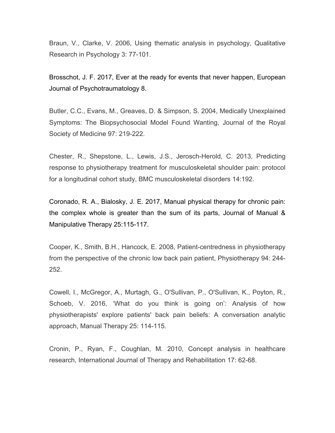Braun, V., Clarke, V. 2006, Using thematic analysis in psychology, Qualitative Research in Psychology 3: 77-101.

[Brosschot, J. F.](https://www-ncbi-nlm-nih-gov.ezproxy.brighton.ac.uk/pubmed/?term=Brosschot%20JF%5BAuthor%5D&cauthor=true&cauthor_uid=28451075) 2017, Ever at the ready for events that never happen, [European](https://www-ncbi-nlm-nih-gov.ezproxy.brighton.ac.uk/pubmed/?term=ever+at+the+ready+for+events+that+never+happen)  [Journal of Psychotraumatology](https://www-ncbi-nlm-nih-gov.ezproxy.brighton.ac.uk/pubmed/?term=ever+at+the+ready+for+events+that+never+happen) 8.

Butler, C.C., Evans, M., Greaves, D. & Simpson, S. 2004, Medically Unexplained Symptoms: The Biopsychosocial Model Found Wanting, Journal of the Royal Society of Medicine 97: 219-222.

Chester, R., Shepstone, L., Lewis, J.S., Jerosch-Herold, C. 2013, Predicting response to physiotherapy treatment for musculoskeletal shoulder pain: protocol for a longitudinal cohort study, BMC musculoskeletal disorders 14:192.

[Coronado, R. A.](https://www-ncbi-nlm-nih-gov.ezproxy.brighton.ac.uk/pubmed/?term=Coronado%20RA%5BAuthor%5D&cauthor=true&cauthor_uid=28694673), [Bialosky, J. E.](https://www-ncbi-nlm-nih-gov.ezproxy.brighton.ac.uk/pubmed/?term=Bialosky%20JE%5BAuthor%5D&cauthor=true&cauthor_uid=28694673) 2017, Manual physical therapy for chronic pain: the complex whole is greater than the sum of its parts, [Journal of Manual &](https://www-ncbi-nlm-nih-gov.ezproxy.brighton.ac.uk/pubmed/?term=manual+physical+therapy+for+chronic+pain%3A+the+complex+whole)  [Manipulative Therapy](https://www-ncbi-nlm-nih-gov.ezproxy.brighton.ac.uk/pubmed/?term=manual+physical+therapy+for+chronic+pain%3A+the+complex+whole) 25:115-117.

Cooper, K., Smith, B.H., Hancock, E. 2008, Patient-centredness in physiotherapy from the perspective of the chronic low back pain patient, Physiotherapy 94: 244- 252.

Cowell, I., McGregor, A., Murtagh, G., O'Sullivan, P., O'Sullivan, K., Poyton, R., Schoeb, V. 2016, 'What do you think is going on': Analysis of how physiotherapists' explore patients' back pain beliefs: A conversation analytic approach, Manual Therapy 25: 114-115.

Cronin, P., Ryan, F., Coughlan, M. 2010, Concept analysis in healthcare research, International Journal of Therapy and Rehabilitation 17: 62-68.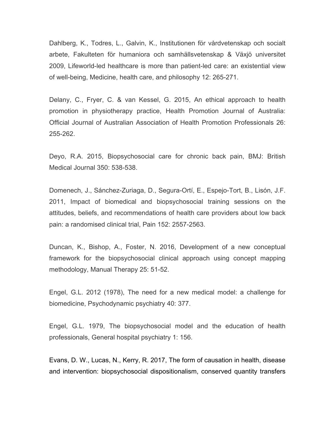Dahlberg, K., Todres, L., Galvin, K., Institutionen för vårdvetenskap och socialt arbete, Fakulteten för humaniora och samhällsvetenskap & Växjö universitet 2009, Lifeworld-led healthcare is more than patient-led care: an existential view of well-being, Medicine, health care, and philosophy 12: 265-271.

Delany, C., Fryer, C. & van Kessel, G. 2015, An ethical approach to health promotion in physiotherapy practice, Health Promotion Journal of Australia: Official Journal of Australian Association of Health Promotion Professionals 26: 255-262.

Deyo, R.A. 2015, Biopsychosocial care for chronic back pain, BMJ: British Medical Journal 350: 538-538.

Domenech, J., Sánchez-Zuriaga, D., Segura-Ortí, E., Espejo-Tort, B., Lisón, J.F. 2011, Impact of biomedical and biopsychosocial training sessions on the attitudes, beliefs, and recommendations of health care providers about low back pain: a randomised clinical trial, Pain 152: 2557-2563.

Duncan, K., Bishop, A., Foster, N. 2016, Development of a new conceptual framework for the biopsychosocial clinical approach using concept mapping methodology, Manual Therapy 25: 51-52.

Engel, G.L. 2012 (1978), The need for a new medical model: a challenge for biomedicine, Psychodynamic psychiatry 40: 377.

Engel, G.L. 1979, The biopsychosocial model and the education of health professionals, General hospital psychiatry 1: 156.

Evans, D. W., Lucas, N., Kerry, R. 2017, The form of causation [in health, disease](https://www-ncbi-nlm-nih-gov.ezproxy.brighton.ac.uk/pubmed/28124195)  [and intervention: biopsychosocial dispositionalism, conserved quantity transfers](https://www-ncbi-nlm-nih-gov.ezproxy.brighton.ac.uk/pubmed/28124195)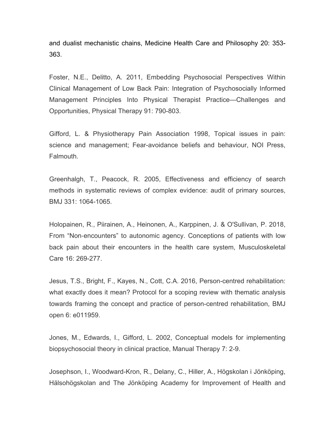[and dualist mechanistic chains,](https://www-ncbi-nlm-nih-gov.ezproxy.brighton.ac.uk/pubmed/28124195) Medicine Health Care and Philosophy 20: 353- 363.

Foster, N.E., Delitto, A. 2011, Embedding Psychosocial Perspectives Within Clinical Management of Low Back Pain: Integration of Psychosocially Informed Management Principles Into Physical Therapist Practice—Challenges and Opportunities, Physical Therapy 91: 790-803.

Gifford, L. & Physiotherapy Pain Association 1998, Topical issues in pain: science and management; Fear-avoidance beliefs and behaviour, NOI Press, Falmouth.

Greenhalgh, T., Peacock, R. 2005, Effectiveness and efficiency of search methods in systematic reviews of complex evidence: audit of primary sources, BMJ 331: 1064-1065.

Holopainen, R., Piirainen, A., Heinonen, A., Karppinen, J. & O'Sullivan, P. 2018, From "Non‐encounters" to autonomic agency. Conceptions of patients with low back pain about their encounters in the health care system, Musculoskeletal Care 16: 269-277.

Jesus, T.S., Bright, F., Kayes, N., Cott, C.A. 2016, Person-centred rehabilitation: what exactly does it mean? Protocol for a scoping review with thematic analysis towards framing the concept and practice of person-centred rehabilitation, BMJ open 6: e011959.

Jones, M., Edwards, I., Gifford, L. 2002, Conceptual models for implementing biopsychosocial theory in clinical practice, Manual Therapy 7: 2-9.

Josephson, I., Woodward-Kron, R., Delany, C., Hiller, A., Högskolan i Jönköping, Hälsohögskolan and The Jönköping Academy for Improvement of Health and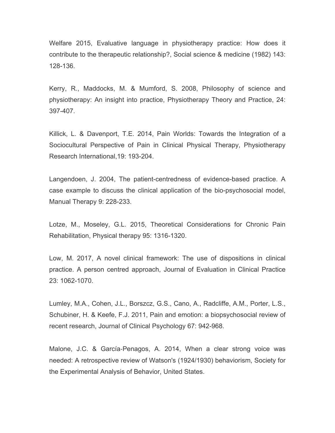Welfare 2015, Evaluative language in physiotherapy practice: How does it contribute to the therapeutic relationship?, Social science & medicine (1982) 143: 128-136.

Kerry, R., Maddocks, M. & Mumford, S. 2008, Philosophy of science and physiotherapy: An insight into practice, Physiotherapy Theory and Practice, 24: 397-407.

Killick, L. & Davenport, T.E. 2014, Pain Worlds: Towards the Integration of a Sociocultural Perspective of Pain in Clinical Physical Therapy, Physiotherapy Research International,19: 193-204.

Langendoen, J. 2004, The patient-centredness of evidence-based practice. A case example to discuss the clinical application of the bio-psychosocial model, Manual Therapy 9: 228-233.

Lotze, M., Moseley, G.L. 2015, Theoretical Considerations for Chronic Pain Rehabilitation, Physical therapy 95: 1316-1320.

Low, M. 2017, A novel clinical framework: The use of dispositions in clinical practice. A person centred approach, Journal of Evaluation in Clinical Practice 23: 1062-1070.

Lumley, M.A., Cohen, J.L., Borszcz, G.S., Cano, A., Radcliffe, A.M., Porter, L.S., Schubiner, H. & Keefe, F.J. 2011, Pain and emotion: a biopsychosocial review of recent research, Journal of Clinical Psychology 67: 942-968.

Malone, J.C. & García‐Penagos, A. 2014, When a clear strong voice was needed: A retrospective review of Watson's (1924/1930) behaviorism, Society for the Experimental Analysis of Behavior, United States.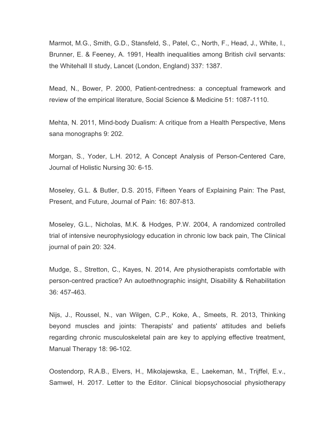Marmot, M.G., Smith, G.D., Stansfeld, S., Patel, C., North, F., Head, J., White, I., Brunner, E. & Feeney, A. 1991, Health inequalities among British civil servants: the Whitehall II study, Lancet (London, England) 337: 1387.

Mead, N., Bower, P. 2000, Patient-centredness: a conceptual framework and review of the empirical literature, Social Science & Medicine 51: 1087-1110.

Mehta, N. 2011, Mind-body Dualism: A critique from a Health Perspective, Mens sana monographs 9: 202.

Morgan, S., Yoder, L.H. 2012, A Concept Analysis of Person-Centered Care, Journal of Holistic Nursing 30: 6-15.

Moseley, G.L. & Butler, D.S. 2015, Fifteen Years of Explaining Pain: The Past, Present, and Future, Journal of Pain: 16: 807-813.

Moseley, G.L., Nicholas, M.K. & Hodges, P.W. 2004, A randomized controlled trial of intensive neurophysiology education in chronic low back pain, The Clinical journal of pain 20: 324.

Mudge, S., Stretton, C., Kayes, N. 2014, Are physiotherapists comfortable with person-centred practice? An autoethnographic insight, Disability & Rehabilitation 36: 457-463.

Nijs, J., Roussel, N., van Wilgen, C.P., Koke, A., Smeets, R. 2013, Thinking beyond muscles and joints: Therapists' and patients' attitudes and beliefs regarding chronic musculoskeletal pain are key to applying effective treatment, Manual Therapy 18: 96-102.

Oostendorp, R.A.B., Elvers, H., Mikolajewska, E., Laekeman, M., Trijffel, E.v., Samwel, H. 2017. Letter to the Editor. Clinical biopsychosocial physiotherapy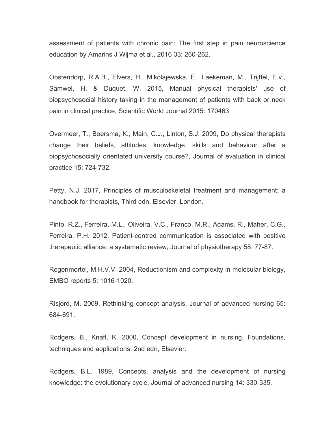assessment of patients with chronic pain: The first step in pain neuroscience education by Amarins J Wijma et al., 2016 33: 260-262.

Oostendorp, R.A.B., Elvers, H., Mikolajewska, E., Laekeman, M., Trijffel, E.v., Samwel, H. & Duquet, W. 2015, Manual physical therapists' use of biopsychosocial history taking in the management of patients with back or neck pain in clinical practice, Scientific World Journal 2015: 170463.

Overmeer, T., Boersma, K., Main, C.J., Linton, S.J. 2009, Do physical therapists change their beliefs, attitudes, knowledge, skills and behaviour after a biopsychosocially orientated university course?, Journal of evaluation in clinical practice 15: 724-732.

Petty, N.J. 2017, Principles of musculoskeletal treatment and management: a handbook for therapists, Third edn, Elsevier, London.

Pinto, R.Z., Ferreira, M.L., Oliveira, V.C., Franco, M.R., Adams, R., Maher, C.G., Ferreira, P.H. 2012, Patient-centred communication is associated with positive therapeutic alliance: a systematic review, Journal of physiotherapy 58: 77-87.

Regenmortel, M.H.V.V. 2004, Reductionism and complexity in molecular biology, EMBO reports 5: 1016-1020.

Risjord, M. 2009, Rethinking concept analysis, Journal of advanced nursing 65: 684-691.

Rodgers, B., Knafl, K. 2000, Concept development in nursing. Foundations, techniques and applications, 2nd edn, Elsevier.

Rodgers, B.L. 1989, Concepts, analysis and the development of nursing knowledge: the evolutionary cycle, Journal of advanced nursing 14: 330-335.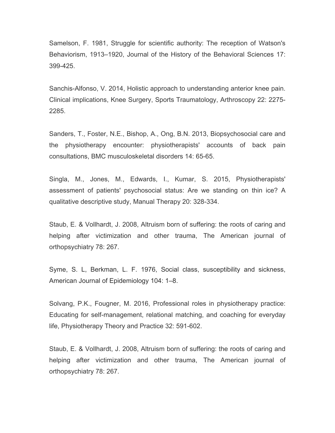Samelson, F. 1981, Struggle for scientific authority: The reception of Watson's Behaviorism, 1913–1920, Journal of the History of the Behavioral Sciences 17: 399-425.

Sanchis-Alfonso, V. 2014, Holistic approach to understanding anterior knee pain. Clinical implications, Knee Surgery, Sports Traumatology, Arthroscopy 22: 2275- 2285.

Sanders, T., Foster, N.E., Bishop, A., Ong, B.N. 2013, Biopsychosocial care and the physiotherapy encounter: physiotherapists' accounts of back pain consultations, BMC musculoskeletal disorders 14: 65-65.

Singla, M., Jones, M., Edwards, I., Kumar, S. 2015, Physiotherapists' assessment of patients' psychosocial status: Are we standing on thin ice? A qualitative descriptive study, Manual Therapy 20: 328-334.

Staub, E. & Vollhardt, J. 2008, Altruism born of suffering: the roots of caring and helping after victimization and other trauma, The American journal of orthopsychiatry 78: 267.

Syme, S. L, Berkman, L. F. 1976, Social class, susceptibility and sickness, American Journal of Epidemiology 104: 1–8.

Solvang, P.K., Fougner, M. 2016, Professional roles in physiotherapy practice: Educating for self-management, relational matching, and coaching for everyday life, Physiotherapy Theory and Practice 32: 591-602.

Staub, E. & Vollhardt, J. 2008, Altruism born of suffering: the roots of caring and helping after victimization and other trauma, The American journal of orthopsychiatry 78: 267.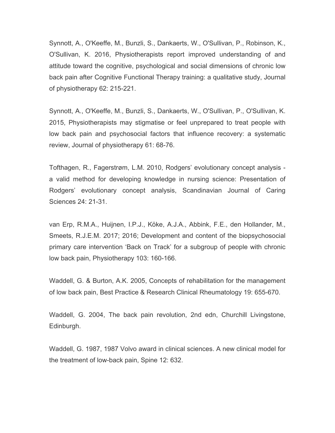Synnott, A., O'Keeffe, M., Bunzli, S., Dankaerts, W., O'Sullivan, P., Robinson, K., O'Sullivan, K. 2016, Physiotherapists report improved understanding of and attitude toward the cognitive, psychological and social dimensions of chronic low back pain after Cognitive Functional Therapy training: a qualitative study, Journal of physiotherapy 62: 215-221.

Synnott, A., O'Keeffe, M., Bunzli, S., Dankaerts, W., O'Sullivan, P., O'Sullivan, K. 2015, Physiotherapists may stigmatise or feel unprepared to treat people with low back pain and psychosocial factors that influence recovery: a systematic review, Journal of physiotherapy 61: 68-76.

Tofthagen, R., Fagerstrøm, L.M. 2010, Rodgers' evolutionary concept analysis a valid method for developing knowledge in nursing science: Presentation of Rodgers' evolutionary concept analysis, Scandinavian Journal of Caring Sciences 24: 21-31.

van Erp, R.M.A., Huijnen, I.P.J., Köke, A.J.A., Abbink, F.E., den Hollander, M., Smeets, R.J.E.M. 2017; 2016; Development and content of the biopsychosocial primary care intervention 'Back on Track' for a subgroup of people with chronic low back pain, Physiotherapy 103: 160-166.

Waddell, G. & Burton, A.K. 2005, Concepts of rehabilitation for the management of low back pain, Best Practice & Research Clinical Rheumatology 19: 655-670.

Waddell, G. 2004, The back pain revolution, 2nd edn, Churchill Livingstone, Edinburgh.

Waddell, G. 1987, 1987 Volvo award in clinical sciences. A new clinical model for the treatment of low-back pain, Spine 12: 632.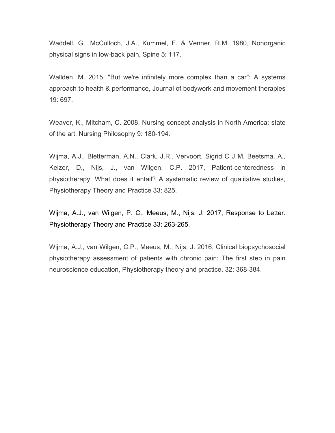Waddell, G., McCulloch, J.A., Kummel, E. & Venner, R.M. 1980, Nonorganic physical signs in low-back pain, Spine 5: 117.

Wallden, M. 2015, "But we're infinitely more complex than a car": A systems approach to health & performance, Journal of bodywork and movement therapies 19: 697.

Weaver, K., Mitcham, C. 2008, Nursing concept analysis in North America: state of the art, Nursing Philosophy 9: 180-194.

Wijma, A.J., Bletterman, A.N., Clark, J.R., Vervoort, Sigrid C J M, Beetsma, A., Keizer, D., Nijs, J., van Wilgen, C.P. 2017, Patient-centeredness in physiotherapy: What does it entail? A systematic review of qualitative studies, Physiotherapy Theory and Practice 33: 825.

[Wijma, A.J.](https://www-ncbi-nlm-nih-gov.ezproxy.brighton.ac.uk/pubmed/?term=Wijma%20AJ%5BAuthor%5D&cauthor=true&cauthor_uid=28339336), [van Wilgen, P. C.](https://www-ncbi-nlm-nih-gov.ezproxy.brighton.ac.uk/pubmed/?term=Paul%20van%20Wilgen%20C%5BAuthor%5D&cauthor=true&cauthor_uid=28339336), [Meeus, M.](https://www-ncbi-nlm-nih-gov.ezproxy.brighton.ac.uk/pubmed/?term=Meeus%20M%5BAuthor%5D&cauthor=true&cauthor_uid=28339336), [Nijs, J](https://www-ncbi-nlm-nih-gov.ezproxy.brighton.ac.uk/pubmed/?term=Nijs%20J%5BAuthor%5D&cauthor=true&cauthor_uid=28339336). 2017, Response to Letter. [Physiotherapy Theory and Practice](https://www-ncbi-nlm-nih-gov.ezproxy.brighton.ac.uk/pubmed/?term=response+letter+wijma+2017) 33: 263-265.

Wijma, A.J., van Wilgen, C.P., Meeus, M., Nijs, J. 2016, Clinical biopsychosocial physiotherapy assessment of patients with chronic pain: The first step in pain neuroscience education, Physiotherapy theory and practice, 32: 368-384.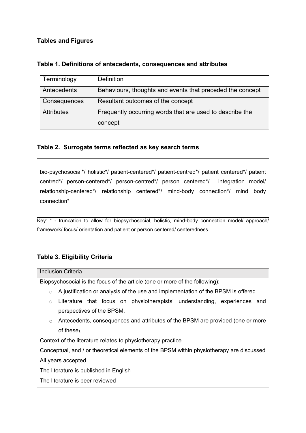## **Tables and Figures**

| Terminology                                                                   | Definition                                                |
|-------------------------------------------------------------------------------|-----------------------------------------------------------|
| Antecedents                                                                   | Behaviours, thoughts and events that preceded the concept |
| Consequences                                                                  | Resultant outcomes of the concept                         |
| Frequently occurring words that are used to describe the<br><b>Attributes</b> |                                                           |
|                                                                               | concept                                                   |

## **Table 1. Definitions of antecedents, consequences and attributes**

## **Table 2. Surrogate terms reflected as key search terms**

bio-psychosocial\*/ holistic\*/ patient-centered\*/ patient-centred\*/ patient centered\*/ patient centred\*/ person-centered\*/ person-centred\*/ person centered\*/ integration model/ relationship-centered\*/ relationship centered\*/ mind-body connection\*/ mind body connection\*

Key: \* - truncation to allow for biopsychosocial, holistic, mind-body connection model/ approach/ framework/ focus/ orientation and patient or person centered/ centeredness.

## **Table 3. Eligibility Criteria**

## Inclusion Criteria

Biopsychosocial is the focus of the article (one or more of the following):

- $\circ$  A justification or analysis of the use and implementation of the BPSM is offered.
- o Literature that focus on physiotherapists' understanding, experiences and perspectives of the BPSM.
- o Antecedents, consequences and attributes of the BPSM are provided (one or more of these).

Context of the literature relates to physiotherapy practice

Conceptual, and / or theoretical elements of the BPSM within physiotherapy are discussed

All years accepted

The literature is published in English

The literature is peer reviewed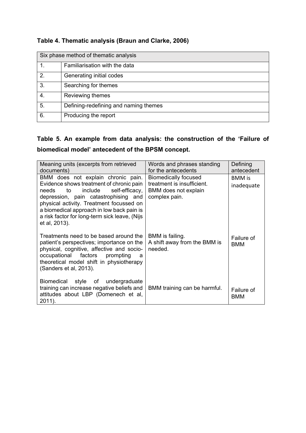| Six phase method of thematic analysis |                                       |  |
|---------------------------------------|---------------------------------------|--|
| 1.                                    | Familiarisation with the data         |  |
| 2.                                    | Generating initial codes              |  |
| 3 <sub>1</sub>                        | Searching for themes                  |  |
| 4.                                    | Reviewing themes                      |  |
| 5.                                    | Defining-redefining and naming themes |  |
| 6.                                    | Producing the report                  |  |

## **Table 4. Thematic analysis (Braun and Clarke, 2006)**

# **Table 5. An example from data analysis: the construction of the 'Failure of biomedical model' antecedent of the BPSM concept.**

| Meaning units (excerpts from retrieved<br>documents)                                                                                                                                                                                                                                                                          | Words and phrases standing<br>for the antecedents                                                  | Defining<br>antecedent      |
|-------------------------------------------------------------------------------------------------------------------------------------------------------------------------------------------------------------------------------------------------------------------------------------------------------------------------------|----------------------------------------------------------------------------------------------------|-----------------------------|
| BMM does not explain chronic pain.<br>Evidence shows treatment of chronic pain<br>include<br>self-efficacy,<br>needs<br>to<br>depression, pain catastrophising and<br>physical activity. Treatment focussed on<br>a biomedical approach in low back pain is<br>a risk factor for long-term sick leave, (Nijs<br>et al, 2013). | <b>Biomedically focused</b><br>treatment is insufficient.<br>BMM does not explain<br>complex pain. | <b>BMM</b> is<br>inadequate |
| Treatments need to be based around the<br>patient's perspectives; importance on the<br>physical, cognitive, affective and socio-<br>occupational factors<br>prompting<br>a<br>theoretical model shift in physiotherapy<br>(Sanders et al, 2013).                                                                              | BMM is failing.<br>A shift away from the BMM is<br>needed.                                         | Failure of<br>BMM           |
| style of undergraduate<br><b>Biomedical</b><br>training can increase negative beliefs and<br>attitudes about LBP (Domenech et al,<br>2011).                                                                                                                                                                                   | BMM training can be harmful.                                                                       | Failure of<br>BMM           |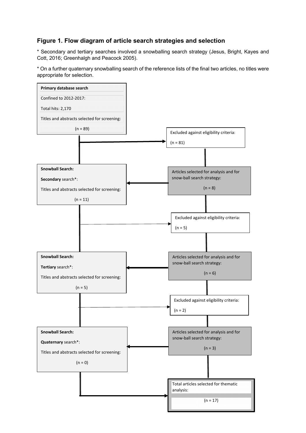## **Figure 1. Flow diagram of article search strategies and selection**

\* Secondary and tertiary searches involved a snowballing search strategy (Jesus, Bright, Kayes and Cott, 2016; Greenhalgh and Peacock 2005).

\* On a further quaternary snowballing search of the reference lists of the final two articles, no titles were appropriate for selection.

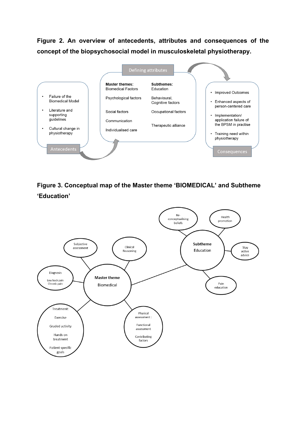**Figure 2. An overview of antecedents, attributes and consequences of the concept of the biopsychosocial model in musculoskeletal physiotherapy.** 



**Figure 3. Conceptual map of the Master theme 'BIOMEDICAL' and Subtheme 'Education'**

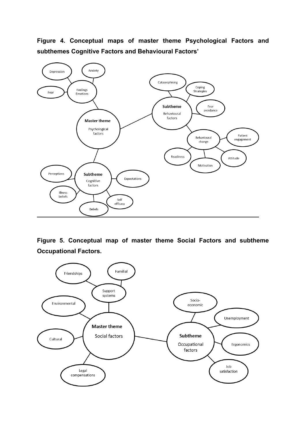**Figure 4***.* **Conceptual maps of master theme Psychological Factors and subthemes Cognitive Factors and Behavioural Factors'**



**Figure 5. Conceptual map of master theme Social Factors and subtheme Occupational Factors.**

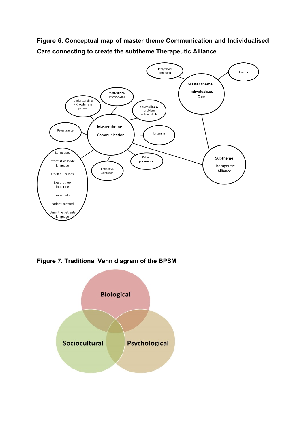**Figure 6. Conceptual map of master theme Communication and Individualised Care connecting to create the subtheme Therapeutic Alliance**



**Figure 7. Traditional Venn diagram of the BPSM**

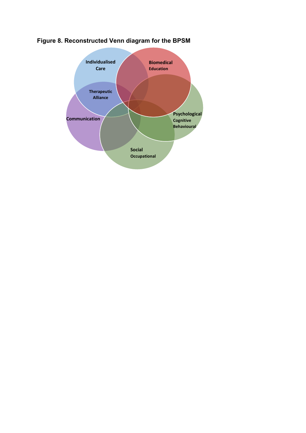

# **Figure 8. Reconstructed Venn diagram for the BPSM**